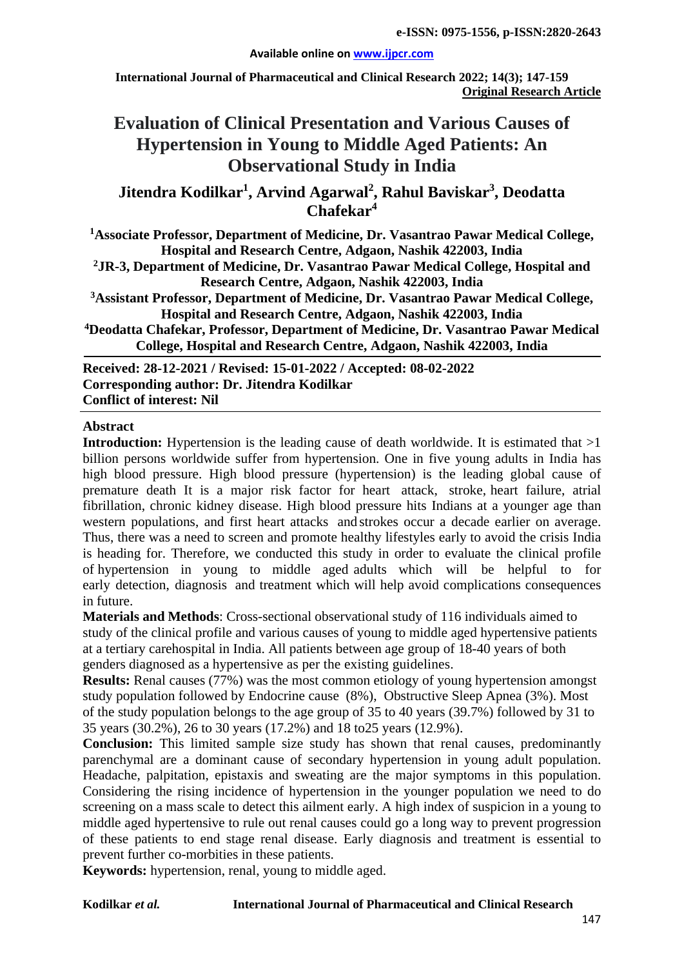#### **Available online on [www.ijpcr.com](http://www.ijpcr.com/)**

**International Journal of Pharmaceutical and Clinical Research 2022; 14(3); 147-159 Original Research Article**

# **Evaluation of Clinical Presentation and Various Causes of Hypertension in Young to Middle Aged Patients: An Observational Study in India**

**Jitendra Kodilkar1 , Arvind Agarwal<sup>2</sup> , Rahul Baviskar3 , Deodatta Chafekar4**

**1 Associate Professor, Department of Medicine, Dr. Vasantrao Pawar Medical College, Hospital and Research Centre, Adgaon, Nashik 422003, India**

**2 JR-3, Department of Medicine, Dr. Vasantrao Pawar Medical College, Hospital and Research Centre, Adgaon, Nashik 422003, India**

**3 Assistant Professor, Department of Medicine, Dr. Vasantrao Pawar Medical College, Hospital and Research Centre, Adgaon, Nashik 422003, India**

**4Deodatta Chafekar, Professor, Department of Medicine, Dr. Vasantrao Pawar Medical College, Hospital and Research Centre, Adgaon, Nashik 422003, India**

**Received: 28-12-2021 / Revised: 15-01-2022 / Accepted: 08-02-2022 Corresponding author: Dr. Jitendra Kodilkar Conflict of interest: Nil**

## **Abstract**

**Introduction:** Hypertension is the leading cause of death worldwide. It is estimated that  $>1$ billion persons worldwide suffer from hypertension. One in five young adults in India has high blood pressure. High blood pressure (hypertension) is the leading global cause of premature death It is a major risk factor for heart attack, stroke, heart failure, atrial fibrillation, chronic kidney disease. High blood pressure hits Indians at a younger age than western populations, and first heart attacks and strokes occur a decade earlier on average. Thus, there was a need to screen and promote healthy lifestyles early to avoid the crisis India is heading for. Therefore, we conducted this study in order to evaluate the clinical profile of hypertension in young to middle aged adults which will be helpful to for early detection, diagnosis and treatment which will help avoid complications consequences in future.

**Materials and Methods**: Cross-sectional observational study of 116 individuals aimed to study of the clinical profile and various causes of young to middle aged hypertensive patients at a tertiary carehospital in India. All patients between age group of 18-40 years of both genders diagnosed as a hypertensive as per the existing guidelines.

**Results:** Renal causes (77%) was the most common etiology of young hypertension amongst study population followed by Endocrine cause (8%), Obstructive Sleep Apnea (3%). Most of the study population belongs to the age group of 35 to 40 years (39.7%) followed by 31 to 35 years (30.2%), 26 to 30 years (17.2%) and 18 to25 years (12.9%).

**Conclusion:** This limited sample size study has shown that renal causes, predominantly parenchymal are a dominant cause of secondary hypertension in young adult population. Headache, palpitation, epistaxis and sweating are the major symptoms in this population. Considering the rising incidence of hypertension in the younger population we need to do screening on a mass scale to detect this ailment early. A high index of suspicion in a young to middle aged hypertensive to rule out renal causes could go a long way to prevent progression of these patients to end stage renal disease. Early diagnosis and treatment is essential to prevent further co-morbities in these patients.

**Keywords:** hypertension, renal, young to middle aged.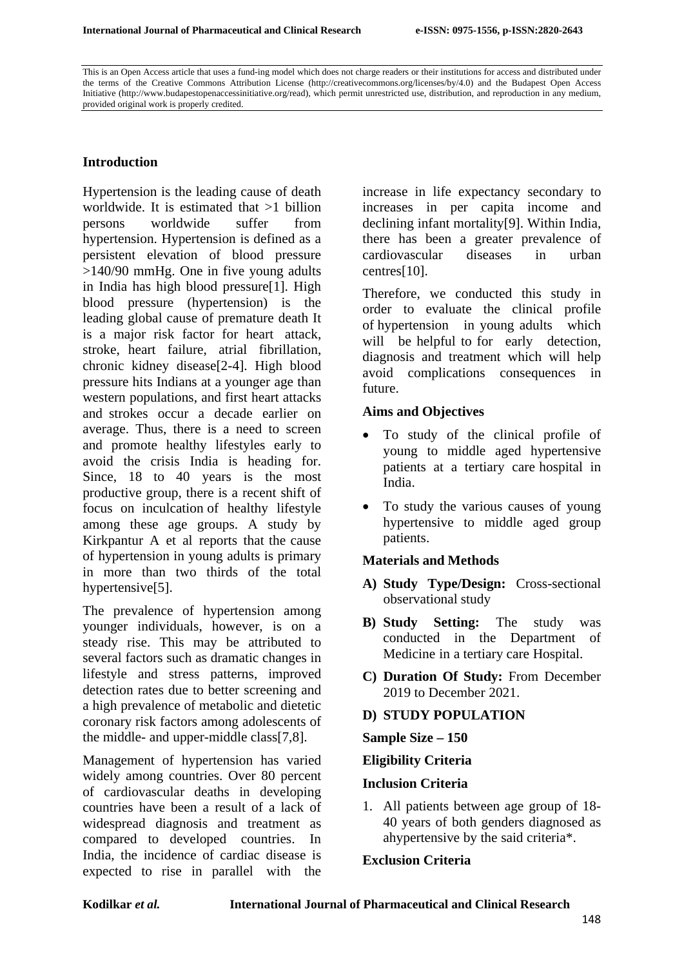This is an Open Access article that uses a fund-ing model which does not charge readers or their institutions for access and distributed under the terms of the Creative Commons Attribution License (http://creativecommons.org/licenses/by/4.0) and the Budapest Open Access Initiative (http://www.budapestopenaccessinitiative.org/read), which permit unrestricted use, distribution, and reproduction in any medium, provided original work is properly credited.

## **Introduction**

Hypertension is the leading cause of death worldwide. It is estimated that >1 billion persons worldwide suffer from hypertension. Hypertension is defined as a persistent elevation of blood pressure >140/90 mmHg. One in five young adults in India has high blood pressure[1]. High blood pressure (hypertension) is the leading global cause of premature death It is a major risk factor for heart attack, stroke, heart failure, atrial fibrillation, chronic kidney disease[2-4]. High blood pressure hits Indians at a younger age than western populations, and first heart attacks and strokes occur a decade earlier on average. Thus, there is a need to screen and promote healthy lifestyles early to avoid the crisis India is heading for. Since, 18 to 40 years is the most productive group, there is a recent shift of focus on inculcation of healthy lifestyle among these age groups. A study by Kirkpantur A et al reports that the cause of hypertension in young adults is primary in more than two thirds of the total hypertensive[5].

The prevalence of hypertension among younger individuals, however, is on a steady rise. This may be attributed to several factors such as dramatic changes in lifestyle and stress patterns, improved detection rates due to better screening and a high prevalence of metabolic and dietetic coronary risk factors among adolescents of the middle- and upper-middle class[7,8].

Management of hypertension has varied widely among countries. Over 80 percent of cardiovascular deaths in developing countries have been a result of a lack of widespread diagnosis and treatment as compared to developed countries. In India, the incidence of cardiac disease is expected to rise in parallel with the

increase in life expectancy secondary to increases in per capita income and declining infant mortality[9]. Within India, there has been a greater prevalence of cardiovascular diseases in urban centres[10].

Therefore, we conducted this study in order to evaluate the clinical profile of hypertension in young adults which will be helpful to for early detection, diagnosis and treatment which will help avoid complications consequences in future.

#### **Aims and Objectives**

- To study of the clinical profile of young to middle aged hypertensive patients at a tertiary care hospital in India.
- To study the various causes of young hypertensive to middle aged group patients.

#### **Materials and Methods**

- **A) Study Type/Design:** Cross-sectional observational study
- **B) Study Setting:** The study was conducted in the Department of Medicine in a tertiary care Hospital.
- **C) Duration Of Study:** From December 2019 to December 2021.

## **D) STUDY POPULATION**

#### **Sample Size – 150**

#### **Eligibility Criteria**

#### **Inclusion Criteria**

1. All patients between age group of 18- 40 years of both genders diagnosed as ahypertensive by the said criteria\*.

#### **Exclusion Criteria**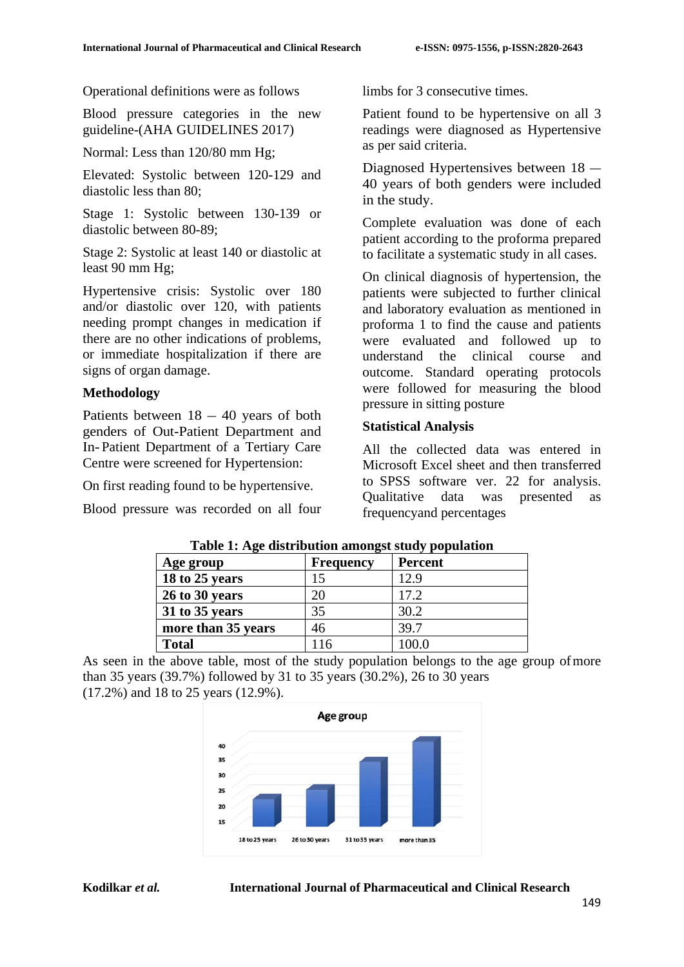Operational definitions were as follows

Blood pressure categories in the new guideline-(AHA GUIDELINES 2017)

Normal: Less than 120/80 mm Hg;

Elevated: Systolic between 120-129 and diastolic less than 80;

Stage 1: Systolic between 130-139 or diastolic between 80-89;

Stage 2: Systolic at least 140 or diastolic at least 90 mm Hg;

Hypertensive crisis: Systolic over 180 and/or diastolic over 120, with patients needing prompt changes in medication if there are no other indications of problems, or immediate hospitalization if there are signs of organ damage.

## **Methodology**

Patients between  $18 - 40$  years of both genders of Out-Patient Department and In- Patient Department of a Tertiary Care Centre were screened for Hypertension:

On first reading found to be hypertensive.

Blood pressure was recorded on all four

limbs for 3 consecutive times.

Patient found to be hypertensive on all 3 readings were diagnosed as Hypertensive as per said criteria.

Diagnosed Hypertensives between 18 – 40 years of both genders were included in the study.

Complete evaluation was done of each patient according to the proforma prepared to facilitate a systematic study in all cases.

On clinical diagnosis of hypertension, the patients were subjected to further clinical and laboratory evaluation as mentioned in proforma 1 to find the cause and patients were evaluated and followed up to understand the clinical course and outcome. Standard operating protocols were followed for measuring the blood pressure in sitting posture

# **Statistical Analysis**

All the collected data was entered in Microsoft Excel sheet and then transferred to SPSS software ver. 22 for analysis. Qualitative data was presented as frequencyand percentages

| Tuble 1, 11ge abditionation antongoe beau, population |                  |                |  |
|-------------------------------------------------------|------------------|----------------|--|
| Age group                                             | <b>Frequency</b> | <b>Percent</b> |  |
| 18 to 25 years                                        | 15               | 12.9           |  |
| 26 to 30 years                                        | 20               | 17.2           |  |
| 31 to 35 years                                        | 35               | 30.2           |  |
| more than 35 years                                    | 46               | 39.7           |  |
| <b>Total</b>                                          | 116              | 100.0          |  |

**Table 1: Age distribution amongst study population**

As seen in the above table, most of the study population belongs to the age group ofmore than 35 years (39.7%) followed by 31 to 35 years (30.2%), 26 to 30 years (17.2%) and 18 to 25 years (12.9%).

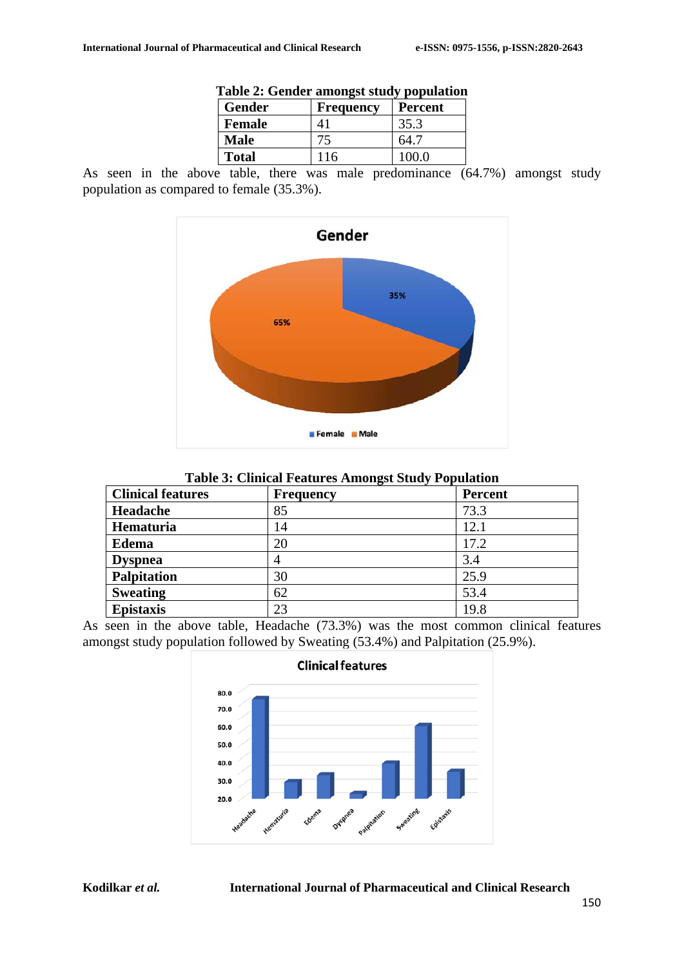| Table 2: Genuer amongst study population |           |                |
|------------------------------------------|-----------|----------------|
| Gender                                   | Frequency | <b>Percent</b> |
| <b>Female</b>                            | 41        | 35.3           |
| <b>Male</b>                              | 75        | 64.7           |
| <b>Total</b>                             | 116       | 100.0          |
|                                          |           |                |

As seen in the above table, there was male predominance (64.7%) amongst study population as compared to female (35.3%).



**Table 3: Clinical Features Amongst Study Population**

| <b>Clinical features</b> | $\overline{\phantom{a}}$<br><b>Frequency</b> | <b>Percent</b> |
|--------------------------|----------------------------------------------|----------------|
| Headache                 | 85                                           | 73.3           |
| Hematuria                | 14                                           | 12.1           |
| <b>Edema</b>             | 20                                           | 17.2           |
| <b>Dyspnea</b>           |                                              | 3.4            |
| <b>Palpitation</b>       | 30                                           | 25.9           |
| <b>Sweating</b>          | 62                                           | 53.4           |
| <b>Epistaxis</b>         | 23                                           | 19.8           |

As seen in the above table, Headache (73.3%) was the most common clinical features amongst study population followed by Sweating (53.4%) and Palpitation (25.9%).

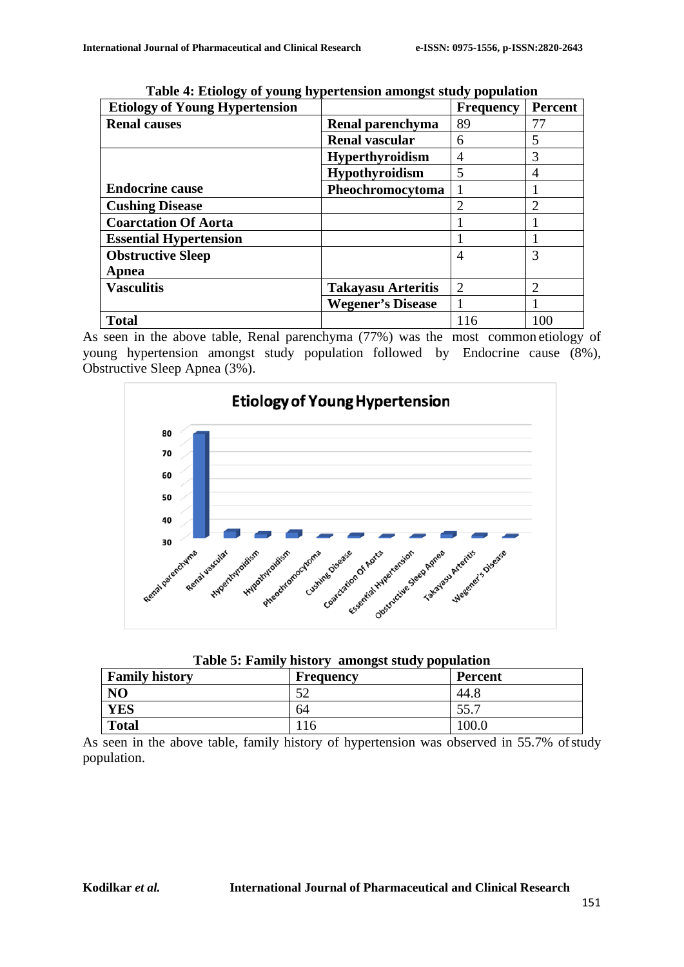| っ<br>0<br>ູ<br><b>Etiology of Young Hypertension</b> |                           | <b>Frequency</b>            | Percent        |
|------------------------------------------------------|---------------------------|-----------------------------|----------------|
| <b>Renal causes</b>                                  | Renal parenchyma          | 89                          | 77             |
|                                                      | <b>Renal vascular</b>     | 6                           | 5              |
|                                                      | <b>Hyperthyroidism</b>    | 4                           | 3              |
|                                                      | <b>Hypothyroidism</b>     | 5                           | 4              |
| <b>Endocrine cause</b>                               | Pheochromocytoma          |                             |                |
| <b>Cushing Disease</b>                               |                           | $\mathcal{D}_{\mathcal{L}}$ |                |
| <b>Coarctation Of Aorta</b>                          |                           |                             |                |
| <b>Essential Hypertension</b>                        |                           |                             |                |
| <b>Obstructive Sleep</b>                             |                           | 4                           | 3              |
| Apnea                                                |                           |                             |                |
| <b>Vasculitis</b>                                    | <b>Takayasu Arteritis</b> | $\overline{2}$              | $\mathfrak{D}$ |
|                                                      | <b>Wegener's Disease</b>  |                             |                |
| <b>Total</b>                                         |                           | 116                         | 100            |

**Table 4: Etiology of young hypertension amongst study population**

As seen in the above table, Renal parenchyma (77%) was the most common etiology of young hypertension amongst study population followed by Endocrine cause (8%), Obstructive Sleep Apnea (3%).



| Table 5: Family history amongst study population |  |  |
|--------------------------------------------------|--|--|
|--------------------------------------------------|--|--|

| <b>Family history</b> | <b>Frequency</b> | <b>Percent</b> |
|-----------------------|------------------|----------------|
| N <sub>O</sub>        | 50<br>ے ر        | 44.8           |
| YES                   | 64               | 55.7           |
| <b>Total</b>          | 10               | 100.0          |

As seen in the above table, family history of hypertension was observed in 55.7% of study population.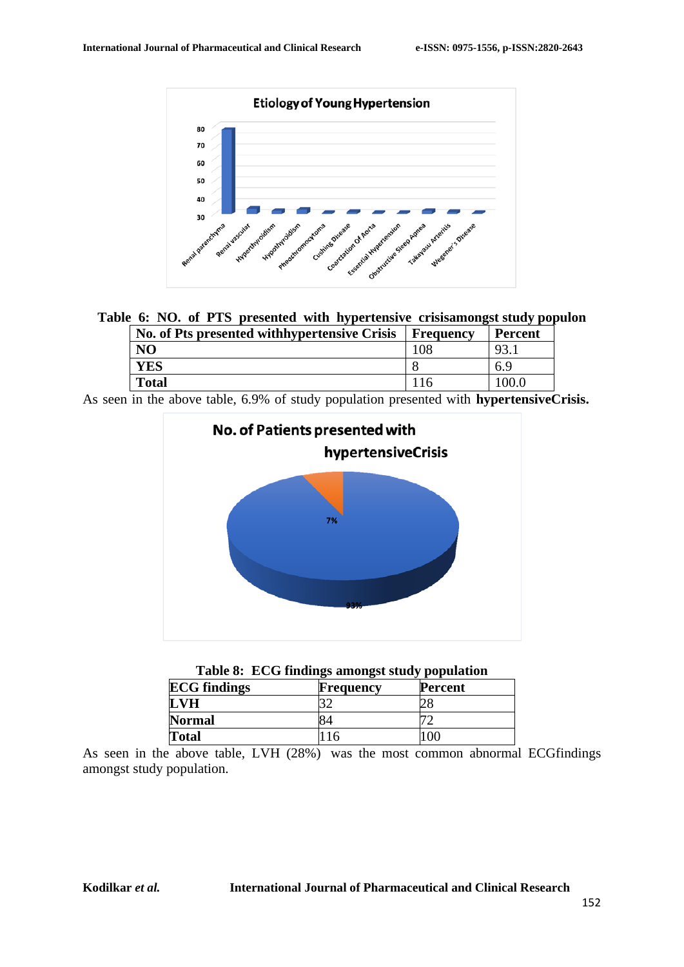

**Table 6: NO. of PTS presented with hypertensive crisisamongst study populon**

| No. of Pts presented with hypertensive Crisis   Frequency | <b>Percent</b> |
|-----------------------------------------------------------|----------------|
| NО                                                        |                |
| YES                                                       | 6.9            |
| Total                                                     |                |

As seen in the above table, 6.9% of study population presented with **hypertensiveCrisis.**



| <b>ECG</b> findings | <b>Frequency</b> | <b>Percent</b> |
|---------------------|------------------|----------------|
| LVH                 |                  |                |
| <b>Normal</b>       |                  |                |
| <b>Total</b>        | 10               | OC.            |

As seen in the above table, LVH (28%) was the most common abnormal ECGfindings amongst study population.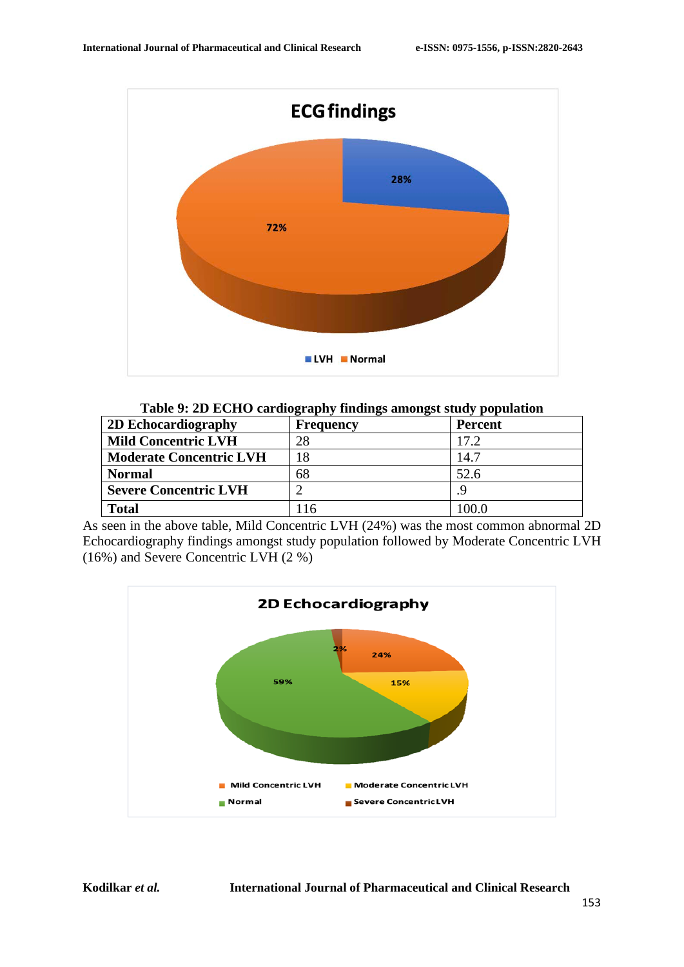

| Table 9: 2D ECHO cardiography findings amongst study population |  |
|-----------------------------------------------------------------|--|
|                                                                 |  |

| 2D Echocardiography            | <b>Frequency</b> | Percent |
|--------------------------------|------------------|---------|
| <b>Mild Concentric LVH</b>     | 28               | 17.2    |
| <b>Moderate Concentric LVH</b> | ι8               | 14.7    |
| <b>Normal</b>                  | 68               | 52.6    |
| <b>Severe Concentric LVH</b>   |                  |         |
| <b>Total</b>                   |                  |         |

As seen in the above table, Mild Concentric LVH (24%) was the most common abnormal 2D Echocardiography findings amongst study population followed by Moderate Concentric LVH (16%) and Severe Concentric LVH (2 %)

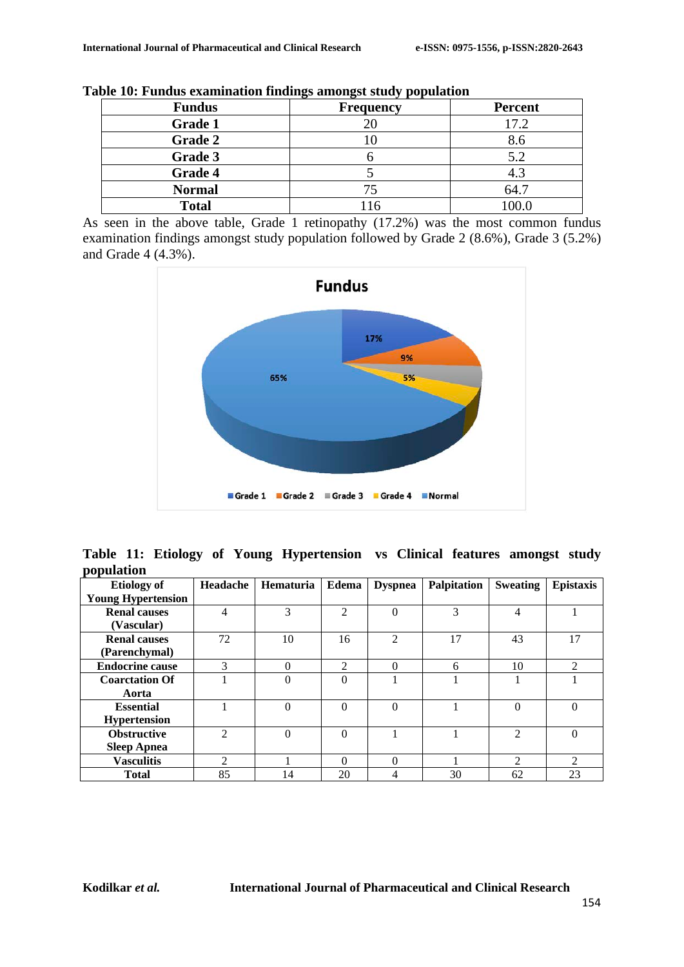| <b>Fundus</b>  | ັ<br><b>Frequency</b> | <b>Percent</b> |
|----------------|-----------------------|----------------|
| <b>Grade 1</b> |                       | 17.2           |
| <b>Grade 2</b> |                       | 8.6            |
| Grade 3        |                       | 5.2            |
| Grade 4        |                       | 4.3            |
| <b>Normal</b>  | 75                    | 64.7           |
| <b>Total</b>   |                       |                |

**Table 10: Fundus examination findings amongst study population**

As seen in the above table, Grade 1 retinopathy (17.2%) was the most common fundus examination findings amongst study population followed by Grade 2 (8.6%), Grade 3 (5.2%) and Grade 4 (4.3%).



**Table 11: Etiology of Young Hypertension vs Clinical features amongst study population**

| <b>Etiology of</b>        | Headache       | <b>Hematuria</b> | <b>Edema</b>   | <b>Dyspnea</b> | <b>Palpitation</b> | <b>Sweating</b> | <b>Epistaxis</b> |
|---------------------------|----------------|------------------|----------------|----------------|--------------------|-----------------|------------------|
| <b>Young Hypertension</b> |                |                  |                |                |                    |                 |                  |
| <b>Renal causes</b>       | 4              | 3                | $\mathfrak{D}$ | $\Omega$       | 3                  | 4               |                  |
| (Vascular)                |                |                  |                |                |                    |                 |                  |
| <b>Renal causes</b>       | 72             | 10               | 16             | $\mathfrak{D}$ | 17                 | 43              | 17               |
| (Parenchymal)             |                |                  |                |                |                    |                 |                  |
| <b>Endocrine cause</b>    | 3              | $\Omega$         | 2              | $\Omega$       | 6                  | 10              | 2                |
| <b>Coarctation Of</b>     |                | $\theta$         | $\Omega$       |                |                    |                 |                  |
| Aorta                     |                |                  |                |                |                    |                 |                  |
| <b>Essential</b>          |                | $\Omega$         | $\Omega$       | $\Omega$       |                    | $\theta$        | $\theta$         |
| <b>Hypertension</b>       |                |                  |                |                |                    |                 |                  |
| <b>Obstructive</b>        | $\mathfrak{D}$ | $\theta$         | $\Omega$       |                |                    | $\overline{2}$  | $\theta$         |
| <b>Sleep Apnea</b>        |                |                  |                |                |                    |                 |                  |
| <b>Vasculitis</b>         | 2              |                  | $\Omega$       | $\Omega$       |                    | $\mathfrak{D}$  | 2                |
| <b>Total</b>              | 85             | 14               | 20             | 4              | 30                 | 62              | 23               |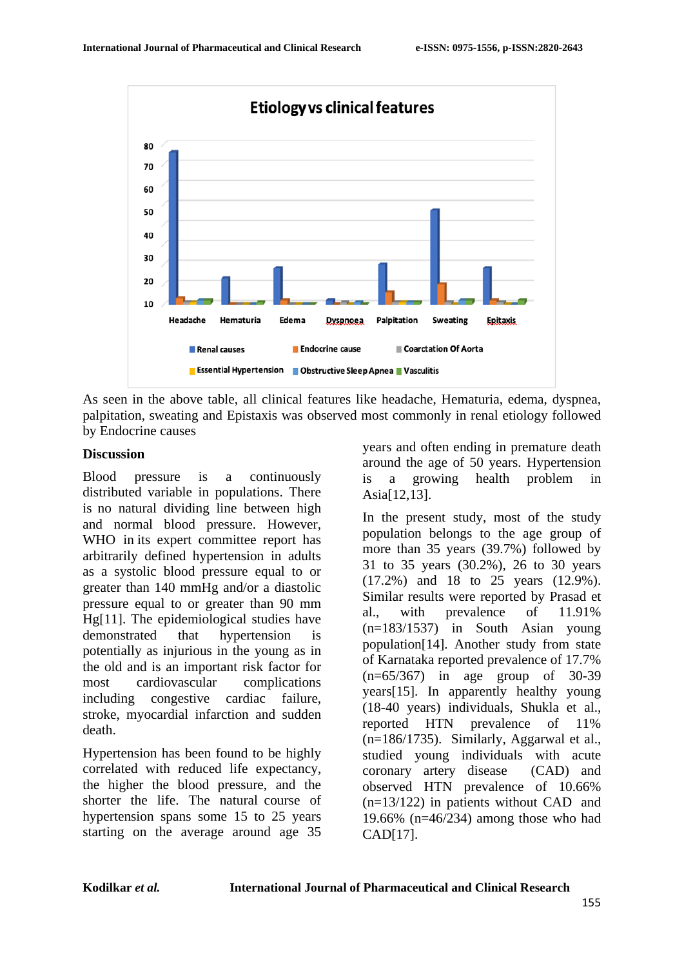

As seen in the above table, all clinical features like headache, Hematuria, edema, dyspnea, palpitation, sweating and Epistaxis was observed most commonly in renal etiology followed by Endocrine causes

#### **Discussion**

Blood pressure is a continuously distributed variable in populations. There is no natural dividing line between high and normal blood pressure. However, WHO in its expert committee report has arbitrarily defined hypertension in adults as a systolic blood pressure equal to or greater than 140 mmHg and/or a diastolic pressure equal to or greater than 90 mm Hg[11]. The epidemiological studies have demonstrated that hypertension potentially as injurious in the young as in the old and is an important risk factor for most cardiovascular complications including congestive cardiac failure, stroke, myocardial infarction and sudden death.

Hypertension has been found to be highly correlated with reduced life expectancy, the higher the blood pressure, and the shorter the life. The natural course of hypertension spans some 15 to 25 years starting on the average around age 35 years and often ending in premature death around the age of 50 years. Hypertension is a growing health problem in Asia[12,13].

In the present study, most of the study population belongs to the age group of more than 35 years (39.7%) followed by 31 to 35 years (30.2%), 26 to 30 years (17.2%) and 18 to 25 years (12.9%). Similar results were reported by Prasad et al., with prevalence of 11.91% (n=183/1537) in South Asian young population[14]. Another study from state of Karnataka reported prevalence of 17.7% (n=65/367) in age group of 30-39 years[15]. In apparently healthy young (18-40 years) individuals, Shukla et al., reported HTN prevalence of 11% (n=186/1735). Similarly, Aggarwal et al., studied young individuals with acute coronary artery disease (CAD) and observed HTN prevalence of 10.66% (n=13/122) in patients without CAD and 19.66% (n=46/234) among those who had CAD[17].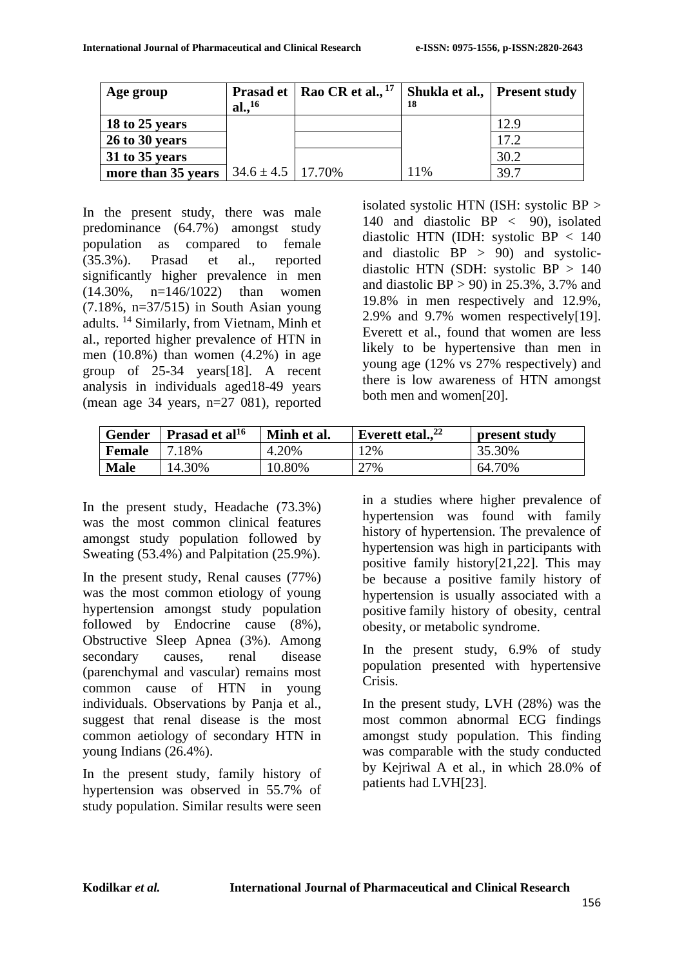| Age group              | <b>Prasad et</b><br>al., <sup>16</sup> | Rao CR et al., $17$ | 18  | Shukla et al., Present study |
|------------------------|----------------------------------------|---------------------|-----|------------------------------|
| $\vert$ 18 to 25 years |                                        |                     |     | 12.9                         |
| 26 to 30 years         |                                        |                     |     | 17.2                         |
| 31 to 35 years         |                                        |                     |     | 30.2                         |
| more than 35 years     | $34.6 \pm 4.5$   17.70%                |                     | 11% | 39.7                         |

In the present study, there was male predominance (64.7%) amongst study population as compared to female (35.3%). Prasad et al., reported significantly higher prevalence in men (14.30%, n=146/1022) than women (7.18%, n=37/515) in South Asian young adults. 14 Similarly, from Vietnam, Minh et al., reported higher prevalence of HTN in men (10.8%) than women (4.2%) in age group of 25-34 years[18]. A recent analysis in individuals aged18-49 years (mean age 34 years, n=27 081), reported isolated systolic HTN (ISH: systolic BP > 140 and diastolic BP < 90), isolated diastolic HTN (IDH: systolic BP < 140 and diastolic  $BP > 90$  and systolicdiastolic HTN (SDH: systolic BP > 140 and diastolic  $BP > 90$  in 25.3%, 3.7% and 19.8% in men respectively and 12.9%, 2.9% and 9.7% women respectively[19]. Everett et al., found that women are less likely to be hypertensive than men in young age (12% vs 27% respectively) and there is low awareness of HTN amongst both men and women[20].

| <b>Gender</b> | Prasad et al <sup>16</sup> | Minh et al. | Everett etal., $^{22}$ | present study |
|---------------|----------------------------|-------------|------------------------|---------------|
| <b>Female</b> | 18%                        | 4.20%       | $12\%$                 | 35.30%        |
| <b>Male</b>   | 14.30%                     | 10.80%      | 27%                    | 64.70%        |

In the present study, Headache (73.3%) was the most common clinical features amongst study population followed by Sweating (53.4%) and Palpitation (25.9%).

In the present study, Renal causes (77%) was the most common etiology of young hypertension amongst study population followed by Endocrine cause (8%), Obstructive Sleep Apnea (3%). Among secondary causes, renal disease (parenchymal and vascular) remains most common cause of HTN in young individuals. Observations by Panja et al., suggest that renal disease is the most common aetiology of secondary HTN in young Indians (26.4%).

In the present study, family history of hypertension was observed in 55.7% of study population. Similar results were seen in a studies where higher prevalence of hypertension was found with family history of hypertension. The prevalence of hypertension was high in participants with positive family history[21,22]. This may be because a positive family history of hypertension is usually associated with a positive family history of obesity, central obesity, or metabolic syndrome.

In the present study, 6.9% of study population presented with hypertensive Crisis.

In the present study, LVH (28%) was the most common abnormal ECG findings amongst study population. This finding was comparable with the study conducted by Kejriwal A et al., in which 28.0% of patients had LVH[23].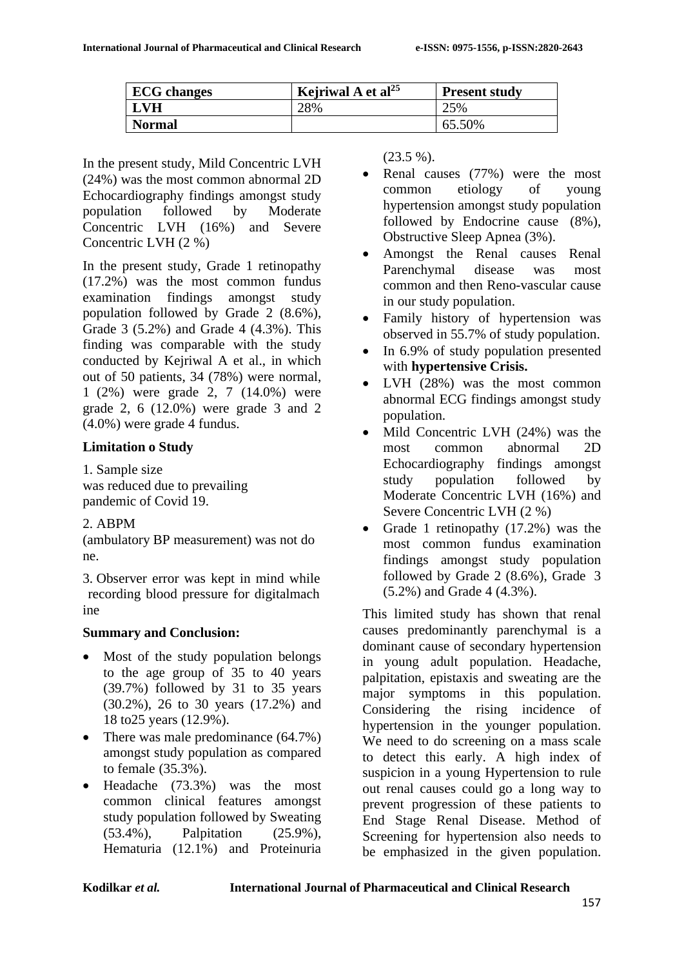| <b>ECG</b> changes | Kejriwal A et al <sup>25</sup> | <b>Present study</b> |
|--------------------|--------------------------------|----------------------|
| <b>LVH</b>         | 28%                            | 25%                  |
| <b>Normal</b>      |                                | 65.50%               |

In the present study, Mild Concentric LVH (24%) was the most common abnormal 2D Echocardiography findings amongst study population followed by Moderate Concentric LVH (16%) and Severe Concentric LVH (2 %)

In the present study, Grade 1 retinopathy (17.2%) was the most common fundus examination findings amongst study population followed by Grade 2 (8.6%), Grade 3 (5.2%) and Grade 4 (4.3%). This finding was comparable with the study conducted by Kejriwal A et al., in which out of 50 patients, 34 (78%) were normal, 1 (2%) were grade 2, 7 (14.0%) were grade 2, 6 (12.0%) were grade 3 and 2 (4.0%) were grade 4 fundus.

# **Limitation o Study**

1. Sample size was reduced due to prevailing pandemic of Covid 19.

# 2. ABPM

(ambulatory BP measurement) was not do ne.

3. Observer error was kept in mind while recording blood pressure for digitalmach ine

# **Summary and Conclusion:**

- Most of the study population belongs to the age group of 35 to 40 years (39.7%) followed by 31 to 35 years (30.2%), 26 to 30 years (17.2%) and 18 to25 years (12.9%).
- There was male predominance (64.7%) amongst study population as compared to female (35.3%).
- Headache (73.3%) was the most common clinical features amongst study population followed by Sweating (53.4%), Palpitation (25.9%), Hematuria (12.1%) and Proteinuria

(23.5 %).

- Renal causes (77%) were the most common etiology of young hypertension amongst study population followed by Endocrine cause (8%), Obstructive Sleep Apnea (3%).
- Amongst the Renal causes Renal Parenchymal disease was most common and then Reno-vascular cause in our study population.
- Family history of hypertension was observed in 55.7% of study population.
- In 6.9% of study population presented with **hypertensive Crisis.**
- LVH (28%) was the most common abnormal ECG findings amongst study population.
- Mild Concentric LVH (24%) was the most common abnormal 2D Echocardiography findings amongst study population followed by Moderate Concentric LVH (16%) and Severe Concentric LVH (2 %)
- Grade 1 retinopathy (17.2%) was the most common fundus examination findings amongst study population followed by Grade 2 (8.6%), Grade 3 (5.2%) and Grade 4 (4.3%).

This limited study has shown that renal causes predominantly parenchymal is a dominant cause of secondary hypertension in young adult population. Headache, palpitation, epistaxis and sweating are the major symptoms in this population. Considering the rising incidence of hypertension in the younger population. We need to do screening on a mass scale to detect this early. A high index of suspicion in a young Hypertension to rule out renal causes could go a long way to prevent progression of these patients to End Stage Renal Disease. Method of Screening for hypertension also needs to be emphasized in the given population.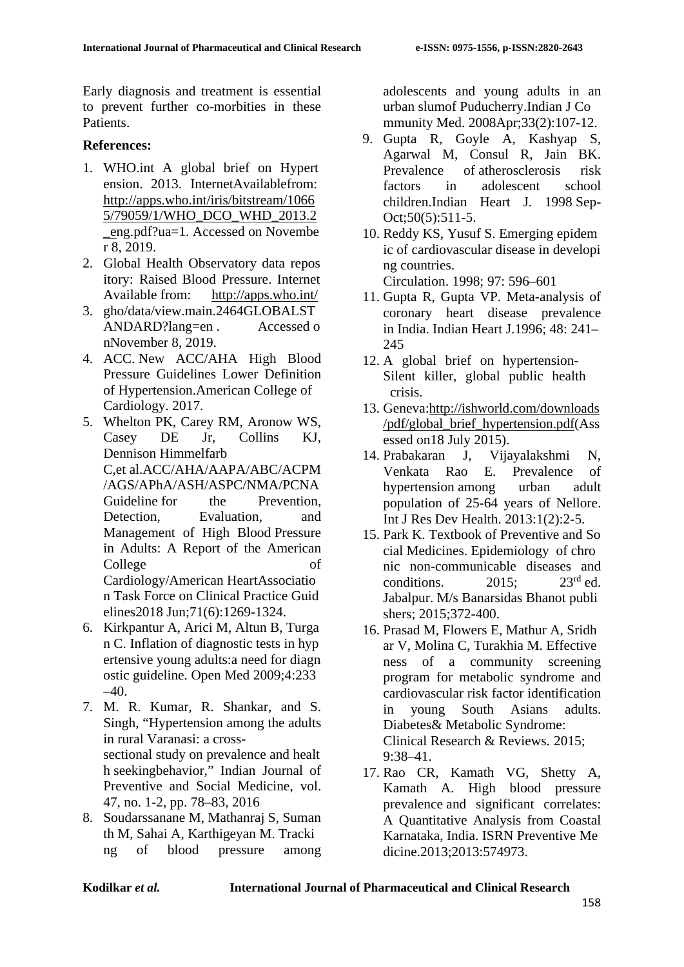Early diagnosis and treatment is essential to prevent further co-morbities in these Patients.

# **References:**

- 1. WHO.int A global brief on Hypert ension. 2013. InternetAvailablefrom[:](http://apps.who.int/iris/bitstream/10665/79059/1/WHO_DCO_WHD_2013.2_e) [http://apps.who.int/iris/bitstream/1066](http://apps.who.int/iris/bitstream/10665/79059/1/WHO_DCO_WHD_2013.2_e) [5/79059/1/WHO\\_DCO\\_WHD\\_2013.2](http://apps.who.int/iris/bitstream/10665/79059/1/WHO_DCO_WHD_2013.2_e) [\\_en](http://apps.who.int/iris/bitstream/10665/79059/1/WHO_DCO_WHD_2013.2_e)g.pdf?ua=1. Accessed on Novembe r 8, 2019.
- 2. Global Health Observatory data repos itory: Raised Blood Pressure. Internet Available from: <http://apps.who.int/>
- 3. gho/data/view.main.2464GLOBALST ANDARD?lang=en . Accessed o nNovember 8, 2019.
- 4. ACC. New ACC/AHA High Blood Pressure Guidelines Lower Definition of Hypertension.American College of Cardiology. 2017.
- 5. Whelton PK, Carey RM, Aronow WS, Casey DE Jr, Collins KJ, Dennison Himmelfarb C,et al.ACC/AHA/AAPA/ABC/ACPM /AGS/APhA/ASH/ASPC/NMA/PCNA Guideline for the Prevention. Detection, Evaluation, and Management of High Blood Pressure in Adults: A Report of the American College of Cardiology/American HeartAssociatio n Task Force on Clinical Practice Guid elines2018 Jun;71(6):1269-1324.
- 6. Kirkpantur A, Arici M, Altun B, Turga n C. Inflation of diagnostic tests in hyp ertensive young adults:a need for diagn ostic guideline. Open Med 2009;4:233  $-40.$
- 7. M. R. Kumar, R. Shankar, and S. Singh, "Hypertension among the adults in rural Varanasi: a crosssectional study on prevalence and healt h seekingbehavior," Indian Journal of Preventive and Social Medicine, vol. 47, no. 1-2, pp. 78–83, 2016
- 8. Soudarssanane M, Mathanraj S, Suman th M, Sahai A, Karthigeyan M. Tracki ng of blood pressure among

adolescents and young adults in an urban slumof Puducherry.Indian J Co mmunity Med. 2008Apr;33(2):107-12.

- 9. Gupta R, Goyle A, Kashyap S, Agarwal M, Consul R, Jain BK.<br>Prevalence of atherosclerosis risk of atherosclerosis risk factors in adolescent school children.Indian Heart J. 1998 Sep-Oct;50(5):511-5.
- 10. Reddy KS, Yusuf S. Emerging epidem ic of cardiovascular disease in developi ng countries. Circulation. 1998; 97: 596–601
- 11. Gupta R, Gupta VP. Meta-analysis of coronary heart disease prevalence in India. Indian Heart J.1996; 48: 241– 245
- 12. A global brief on hypertension-Silent killer, global public health crisis.
- 13. Geneva[:http://ishworld.com/downloads](http://ishworld.com/downloads/pdf/global_brief_hypertension.pdf) [/pdf/global\\_brief\\_hypertension.pdf\(](http://ishworld.com/downloads/pdf/global_brief_hypertension.pdf)Ass essed on18 July 2015).
- 14. Prabakaran J, Vijayalakshmi N, Venkata Rao E. Prevalence of hypertension among urban adult population of 25-64 years of Nellore. Int J Res Dev Health. 2013:1(2):2-5.
- 15. Park K. Textbook of Preventive and So cial Medicines. Epidemiology of chro nic non-communicable diseases and conditions.  $2015$ ;  $23^{\text{rd}}$  ed. Jabalpur. M/s Banarsidas Bhanot publi shers: 2015:372-400.
- 16. Prasad M, Flowers E, Mathur A, Sridh ar V, Molina C, Turakhia M. Effective ness of a community screening program for metabolic syndrome and cardiovascular risk factor identification in young South Asians adults. Diabetes& Metabolic Syndrome: Clinical Research & Reviews. 2015; 9:38–41.
- 17. Rao CR, Kamath VG, Shetty A, Kamath A. High blood pressure prevalence and significant correlates: A Quantitative Analysis from Coastal Karnataka, India. ISRN Preventive Me dicine.2013;2013:574973.